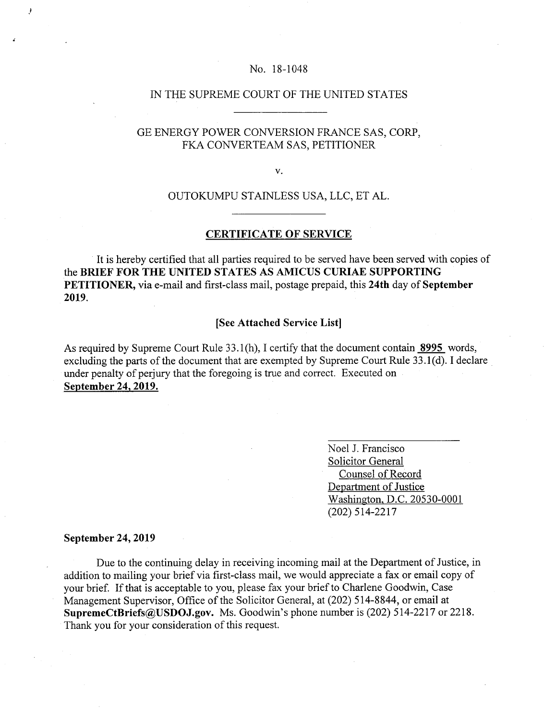### No. 18-1048

## IN THE SUPREME COURT OF THE UNITED STATES

## GE ENERGY POWER CONVERSION FRANCE SAS, CORP, FKA CONVERTEAM SAS, PETITIONER

V.

# OUTOKUMPU STAINLESS USA, LLC, ET AL.

### **CERTIFICATE OF SERVICE**

It is hereby certified that all parties required to be served have been served with copies of **the BRIEF FOR THE UNITED STATES AS AMICUS CURIAE SUPPORTING PETITIONER,** via e-mail and first-class mail, postage prepaid, this **24th** day of **September 2019.** 

### **[See Attached Service List]**

As required by Supreme Court Rule 33.1(h), I certify that the document contain **8995** words, excluding the parts of the document that are exempted by Supreme Court Rule 33.1(d). I declare under penalty of perjury that the foregoing is true and correct. Executed on **September 24, 2019.** 

> Noel J. Francisco Solicitor General Counsel of Record Department of Justice Washington, D.C. 20530-0001 (202) 514-2217

#### **September 24, 2019**

Due to the continuing delay in receiving incoming mail at the Department of Justice, in addition to mailing your brief via first-class mail, we would appreciate a fax or email copy of your brief. If that is acceptable to you, please fax your brief to Charlene Goodwin, Case Management Supervisor, Office of the Solicitor General, at (202) *514-8844,* or email at **SupremeCtBriefs@USDOJ.gov.** Ms. Goodwin's phone number is (202) 514-2217 or 2218. Thank you for your consideration of this request.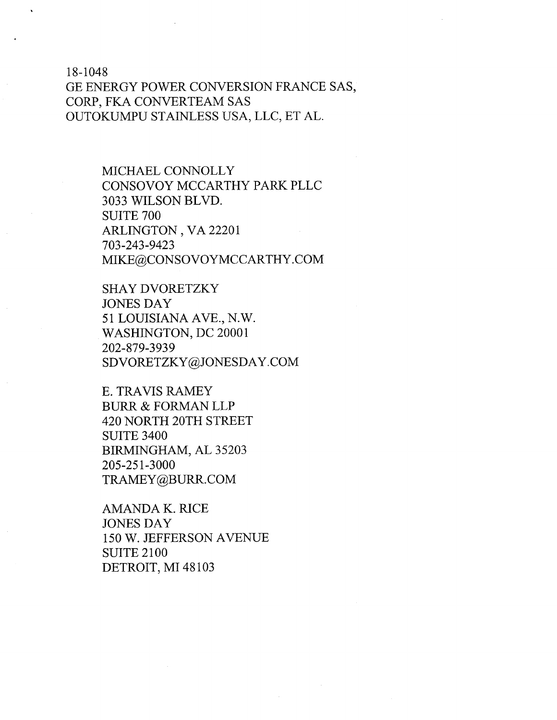18— 1048

GE ENERGY POWER CONVERSION FRANCE SAS, CORP, FKA CONVERTEAM SAS OUTOKUMPU STAINLESS USA, LLC, ET AL.

> MICHAEL CONNOLLY CONSOVOY MCCARTHY PARK PLLC 3033 WILSON BLVD. SUITE 700 ARLINGTON , VA 22201 703-243-9423 MIKE@CONSOVOYMCCARTHY.COM

SHAY DVORETZKY JONES DAY 51 LOUISIANA AVE., N.W. WASHINGTON, DC 20001 202-879-3939 SDVORETZKY@JONESDAY.COM

E. TRAVIS RAMEY BURR & FORMAN LLP 420 NORTH 20TH STREET SUITE 3400 BIRMINGHAM, AL 35203 205-251-3000 TRAMEY@BURR.COM

AMANDA K. RICE JONES DAY 150 W. JEFFERSON AVENUE SUITE 2100 DETROIT, MI 48103